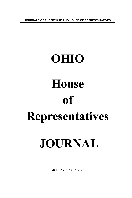**JOURNALS OF THE SENATE AND HOUSE OF REPRESENTATIVES**

# **OHIO House of Representatives JOURNAL**

MONDAY, MAY 16, 2022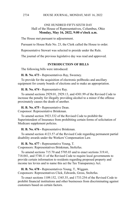## ONE HUNDRED FIFTY-SIXTH DAY Hall of the House of Representatives, Columbus, Ohio **Monday, May 16, 2022, 9:00 o'clock a.m.**

The House met pursuant to adjournment.

Pursuant to House Rule No. 23, the Clerk called the House to order.

Representative Stewart was selected to preside under the Rule.

The journal of the previous legislative day was read and approved.

## **INTRODUCTION OF BILLS**

The following bills were introduced:

**H. B. No. 673 -** Representatives Ray, Sweeney.

To provide for the acquisition of electronic pollbooks and ancillary equipment for county boards of elections and to make an appropriation.

**H. B. No. 674 -** Representative Ray.

To amend sections 2929.01, 2929.13, and 4301.99 of the Revised Code to increase the penalty for illegally providing alcohol to a minor if the offense proximately causes the death of another.

**H. B. No. 675 -** Representative Dean. Cosponsor: Representative Brinkman.

To amend section 3923.332 of the Revised Code to prohibit the Superintendent of Insurance from prohibiting certain forms of solicitation of Medicare supplement policies.

**H. B. No. 676 -** Representative Brinkman.

To amend section 4123.57 of the Revised Code regarding permanent partial disability awards under the Workers' Compensation Law.

**H. B. No. 677 -** Representative Young, T.

Cosponsors: Representatives Brinkman, Stoltzfus.

To amend sections 715.70 and 5705.03 and to enact sections 319.41, 718.041, and 5748.11 of the Revised Code to require local governments to provide certain information to residents regarding proposed property and income tax levies and to name this act the Tax Transparency Act.

**H. B. No. 678 -** Representatives Young, T., Wiggam. Cosponsors: Representatives Click, Edwards, Gross, Stoltzfus.

To enact sections 1109.152, 1345.35, and 1733.254 of the Revised Code to prohibit financial institutions and other businesses from discriminating against customers based on certain factors.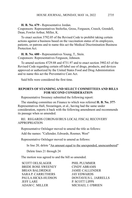**H. B. No. 679 -** Representative Jordan.

Cosponsors: Representatives Stoltzfus, Gross, Ferguson, Creech, Grendell, Dean, Fowler Arthur, Miller, K.

To enact section 3792.05 of the Revised Code to prohibit taking certain actions against a business based on the vaccination status of its employees, patients, or patrons and to name this act the Medical Discrimination Business Protection Act.

**H. B. No. 680 -** Representatives Young, T., Stein. Cosponsors: Representatives Ferguson, Johnson.

To amend sections 4729.88 and 4731.97 and to enact section 3902.63 of the Revised Code regarding certain off-label use of drugs, products, and devices approved or authorized by the United States Food and Drug Administration and to name this act the Preventative Care Act.

Said bills were considered the first time.

#### **REPORTS OF STANDING AND SELECT COMMITTEES AND BILLS FOR SECOND CONSIDERATION**

Representative Sweeney submitted the following report:

The standing committee on Finance to which was referred **H. B. No. 377**- Representatives Hall, Swearingen, et al., having had the same under consideration, reports it back with the following amendment and recommends its passage when so amended.

#### RE: REGARDS CORONAVIRUS LOCAL FISCAL RECOVERY APPROPRIATION

Representative Oelslager moved to amend the title as follows:

Add the names: "Callender, Edwards, Roemer, West"

Representative Oelslager moved to amend as follows:

In line 20, delete "An amount equal to the unexpended, unencumbered"

Delete lines 21 through 24

The motion was agreed to and the bill so amended.

SCOTT OELSLAGER
PHIL PLUMMER BRIDE ROSE SWEENEY CINDY ABRAMS BRIAN BALDRIDGE JAMIE CALLENDER SARA P. CARRUTHERS JAY EDWARDS JEFF LARE P. SCOTT LIPPS ADAM C. MILLER MICHAEL J. O'BRIEN

PAULA HICKS-HUDSON DONTAVIUS L. JARRELLS